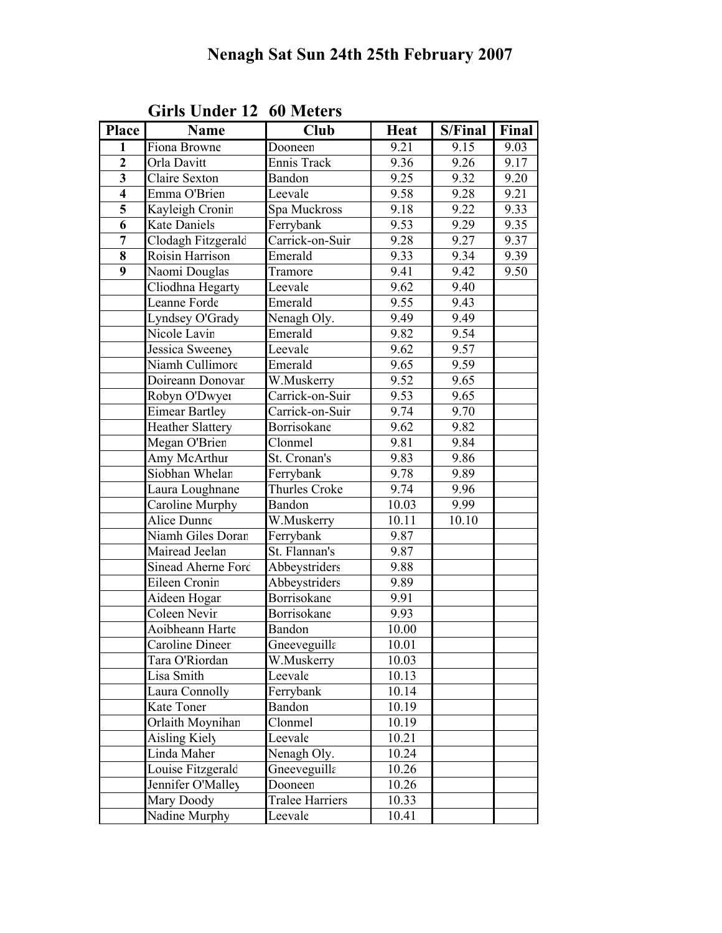| <b>Place</b>            | Name                    | <b>Club</b>            | <b>Heat</b> | S/Final | Final |
|-------------------------|-------------------------|------------------------|-------------|---------|-------|
| $\mathbf{1}$            | Fiona Browne            | Dooneen                | 9.21        | 9.15    | 9.03  |
| $\overline{2}$          | Orla Davitt             | Ennis Track            | 9.36        | 9.26    | 9.17  |
| $\overline{\mathbf{3}}$ | <b>Claire Sexton</b>    | Bandon                 | 9.25        | 9.32    | 9.20  |
| $\overline{\mathbf{4}}$ | Emma O'Brien            | Leevale                | 9.58        | 9.28    | 9.21  |
| 5                       | Kayleigh Cronin         | Spa Muckross           | 9.18        | 9.22    | 9.33  |
| $\overline{6}$          | <b>Kate Daniels</b>     | Ferrybank              | 9.53        | 9.29    | 9.35  |
| $\overline{7}$          | Clodagh Fitzgerald      | Carrick-on-Suir        | 9.28        | 9.27    | 9.37  |
| 8                       | Roisin Harrison         | Emerald                | 9.33        | 9.34    | 9.39  |
| $\overline{9}$          | Naomi Douglas           | Tramore                | 9.41        | 9.42    | 9.50  |
|                         | Cliodhna Hegarty        | Leevale                | 9.62        | 9.40    |       |
|                         | Leanne Forde            | Emerald                | 9.55        | 9.43    |       |
|                         | Lyndsey O'Grady         | Nenagh Oly.            | 9.49        | 9.49    |       |
|                         | Nicole Lavin            | Emerald                | 9.82        | 9.54    |       |
|                         | Jessica Sweeney         | Leevale                | 9.62        | 9.57    |       |
|                         | Niamh Cullimore         | Emerald                | 9.65        | 9.59    |       |
|                         | Doireann Donovar        | W.Muskerry             | 9.52        | 9.65    |       |
|                         | Robyn O'Dwyer           | Carrick-on-Suir        | 9.53        | 9.65    |       |
|                         | <b>Eimear Bartley</b>   | Carrick-on-Suir        | 9.74        | 9.70    |       |
|                         | <b>Heather Slattery</b> | Borrisokane            | 9.62        | 9.82    |       |
|                         | Megan O'Brien           | Clonmel                | 9.81        | 9.84    |       |
|                         | Amy McArthur            | St. Cronan's           | 9.83        | 9.86    |       |
|                         | Siobhan Whelan          | Ferrybank              | 9.78        | 9.89    |       |
|                         | Laura Loughnane         | Thurles Croke          | 9.74        | 9.96    |       |
|                         | Caroline Murphy         | Bandon                 | 10.03       | 9.99    |       |
|                         | Alice Dunne             | W.Muskerry             | 10.11       | 10.10   |       |
|                         | Niamh Giles Doran       | Ferrybank              | 9.87        |         |       |
|                         | Mairead Jeelan          | St. Flannan's          | 9.87        |         |       |
|                         | Sinead Aherne Ford      | Abbeystriders          | 9.88        |         |       |
|                         | Eileen Cronin           | Abbeystriders          | 9.89        |         |       |
|                         | Aideen Hogar            | Borrisokane            | 9.91        |         |       |
|                         | Coleen Nevir            | Borrisokane            | 9.93        |         |       |
|                         | Aoibheann Harte         | Bandon                 | 10.00       |         |       |
|                         | <b>Caroline Dineer</b>  | Gneeveguilla           | 10.01       |         |       |
|                         | Tara O'Riordan          | W.Muskerry             | 10.03       |         |       |
|                         | Lisa Smith              | Leevale                | 10.13       |         |       |
|                         | Laura Connolly          | Ferrybank              | 10.14       |         |       |
|                         | Kate Toner              | Bandon                 | 10.19       |         |       |
|                         | Orlaith Moynihan        | Clonmel                | 10.19       |         |       |
|                         | Aisling Kiely           | Leevale                | 10.21       |         |       |
|                         | Linda Maher             | Nenagh Oly.            | 10.24       |         |       |
|                         | Louise Fitzgerald       | Gneeveguilla           | 10.26       |         |       |
|                         | Jennifer O'Malley       | Dooneen                | 10.26       |         |       |
|                         | Mary Doody              | <b>Tralee Harriers</b> | 10.33       |         |       |
|                         | Nadine Murphy           | Leevale                | 10.41       |         |       |

Girls Under 12 60 Meters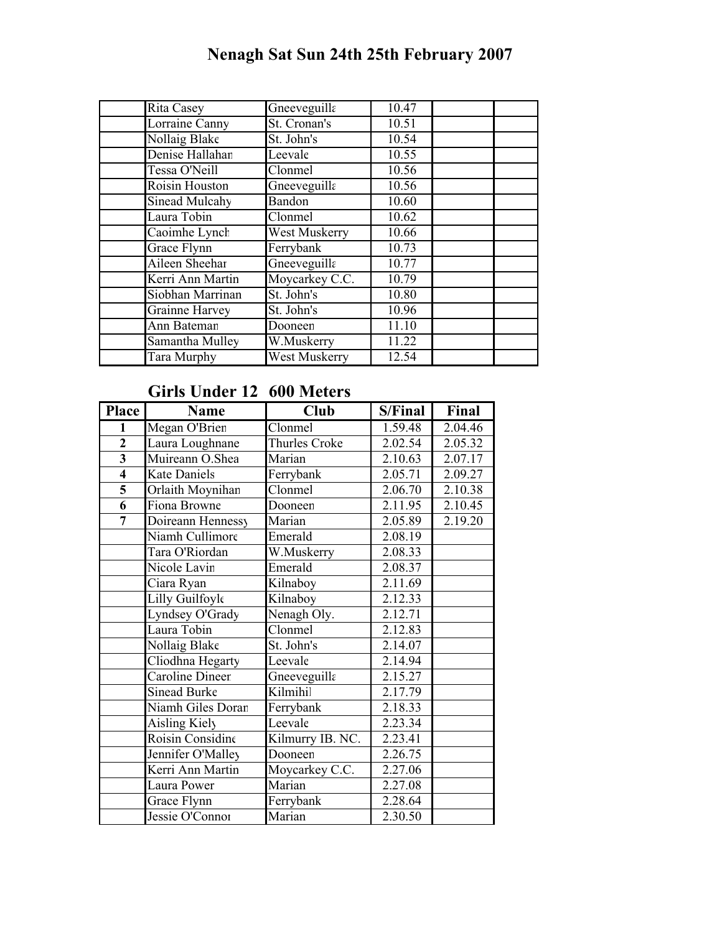# Nenagh Sat Sun 24th 25th February 2007

| Rita Casey            | Gneeveguilla   | 10.47 |  |
|-----------------------|----------------|-------|--|
| Lorraine Canny        | St. Cronan's   | 10.51 |  |
| Nollaig Blake         | St. John's     | 10.54 |  |
| Denise Hallahan       | Leevale        | 10.55 |  |
| Tessa O'Neill         | Clonmel        | 10.56 |  |
| Roisin Houston        | Gneeveguilla   | 10.56 |  |
| Sinead Mulcahy        | Bandon         | 10.60 |  |
| Laura Tobin           | Clonmel        | 10.62 |  |
| Caoimhe Lynch         | West Muskerry  | 10.66 |  |
| Grace Flynn           | Ferrybank      | 10.73 |  |
| Aileen Sheehar        | Gneeveguilla   | 10.77 |  |
| Kerri Ann Martin      | Moycarkey C.C. | 10.79 |  |
| Siobhan Marrinan      | St. John's     | 10.80 |  |
| <b>Grainne Harvey</b> | St. John's     | 10.96 |  |
| Ann Bateman           | Dooneen        | 11.10 |  |
| Samantha Mulley       | W.Muskerry     | 11.22 |  |
| Tara Murphy           | West Muskerry  | 12.54 |  |

## Girls Under 12 600 Meters

| Place                   | <b>Name</b>         | Club             | S/Final | Final   |
|-------------------------|---------------------|------------------|---------|---------|
| 1                       | Megan O'Brien       | <b>Clonmel</b>   | 1.59.48 | 2.04.46 |
| $\mathbf{2}$            | Laura Loughnane     | Thurles Croke    | 2.02.54 | 2.05.32 |
| $\overline{\mathbf{3}}$ | Muireann O.Shea     | Marian           | 2.10.63 | 2.07.17 |
| $\overline{\mathbf{4}}$ | <b>Kate Daniels</b> | Ferrybank        | 2.05.71 | 2.09.27 |
| 5                       | Orlaith Moynihan    | Clonmel          | 2.06.70 | 2.10.38 |
| 6                       | Fiona Browne        | Dooneen          | 2.11.95 | 2.10.45 |
| $\overline{7}$          | Doireann Hennessy   | Marian           | 2.05.89 | 2.19.20 |
|                         | Niamh Cullimore     | Emerald          | 2.08.19 |         |
|                         | Tara O'Riordan      | W.Muskerry       | 2.08.33 |         |
|                         | Nicole Lavin        | Emerald          | 2.08.37 |         |
|                         | Ciara Ryan          | Kilnaboy         | 2.11.69 |         |
|                         | Lilly Guilfoyle     | Kilnaboy         | 2.12.33 |         |
|                         | Lyndsey O'Grady     | Nenagh Oly.      | 2.12.71 |         |
|                         | Laura Tobin         | Clonmel          | 2.12.83 |         |
|                         | Nollaig Blake       | St. John's       | 2.14.07 |         |
|                         | Cliodhna Hegarty    | Leevale          | 2.14.94 |         |
|                         | Caroline Dineer     | Gneeveguilla     | 2.15.27 |         |
|                         | <b>Sinead Burke</b> | Kilmihil         | 2.17.79 |         |
|                         | Niamh Giles Doran   | Ferrybank        | 2.18.33 |         |
|                         | Aisling Kiely       | Leevale          | 2.23.34 |         |
|                         | Roisin Considine    | Kilmurry IB. NC. | 2.23.41 |         |
|                         | Jennifer O'Malley   | Dooneen          | 2.26.75 |         |
|                         | Kerri Ann Martin    | Moycarkey C.C.   | 2.27.06 |         |
|                         | Laura Power         | Marian           | 2.27.08 |         |
|                         | Grace Flynn         | Ferrybank        | 2.28.64 |         |
|                         | Jessie O'Connor     | Marian           | 2.30.50 |         |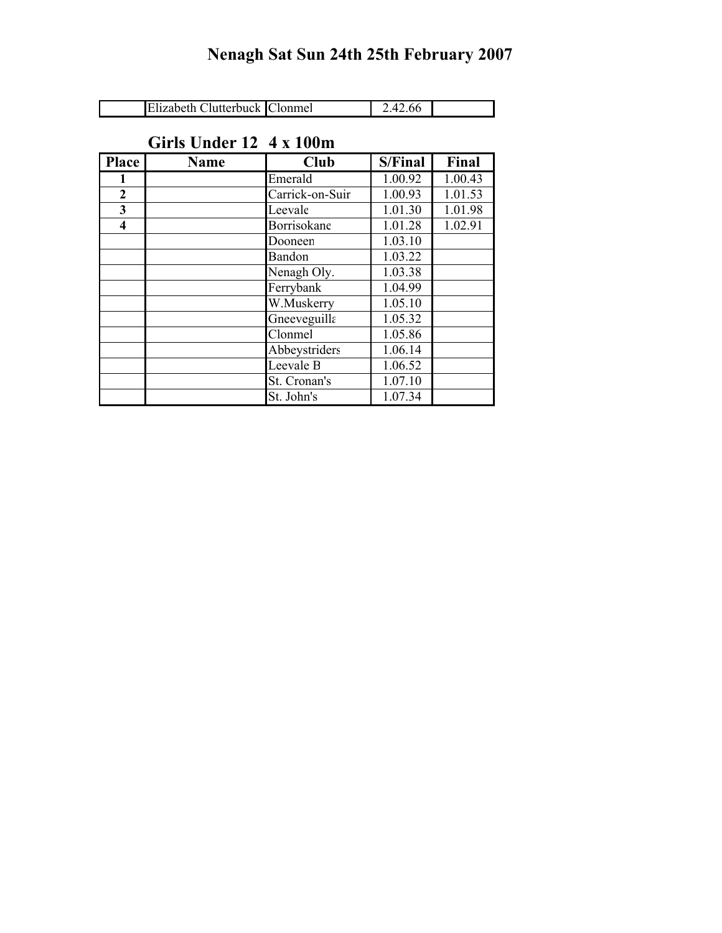| Elizabeth Clutterbuck Clonmel | 2.42.66 |  |
|-------------------------------|---------|--|

## Girls Under 12 4 x 100m

| Place        | <b>Name</b> | <b>Club</b>     | <b>S/Final</b> | Final   |
|--------------|-------------|-----------------|----------------|---------|
| 1            |             | Emerald         | 1.00.92        | 1.00.43 |
| $\mathbf{2}$ |             | Carrick-on-Suir | 1.00.93        | 1.01.53 |
| 3            |             | Leevale         | 1.01.30        | 1.01.98 |
| 4            |             | Borrisokane     | 1.01.28        | 1.02.91 |
|              |             | Dooneen         | 1.03.10        |         |
|              |             | Bandon          | 1.03.22        |         |
|              |             | Nenagh Oly.     | 1.03.38        |         |
|              |             | Ferrybank       | 1.04.99        |         |
|              |             | W.Muskerry      | 1.05.10        |         |
|              |             | Gneeveguilla    | 1.05.32        |         |
|              |             | Clonmel         | 1.05.86        |         |
|              |             | Abbeystriders   | 1.06.14        |         |
|              |             | Leevale B       | 1.06.52        |         |
|              |             | St. Cronan's    | 1.07.10        |         |
|              |             | St. John's      | 1.07.34        |         |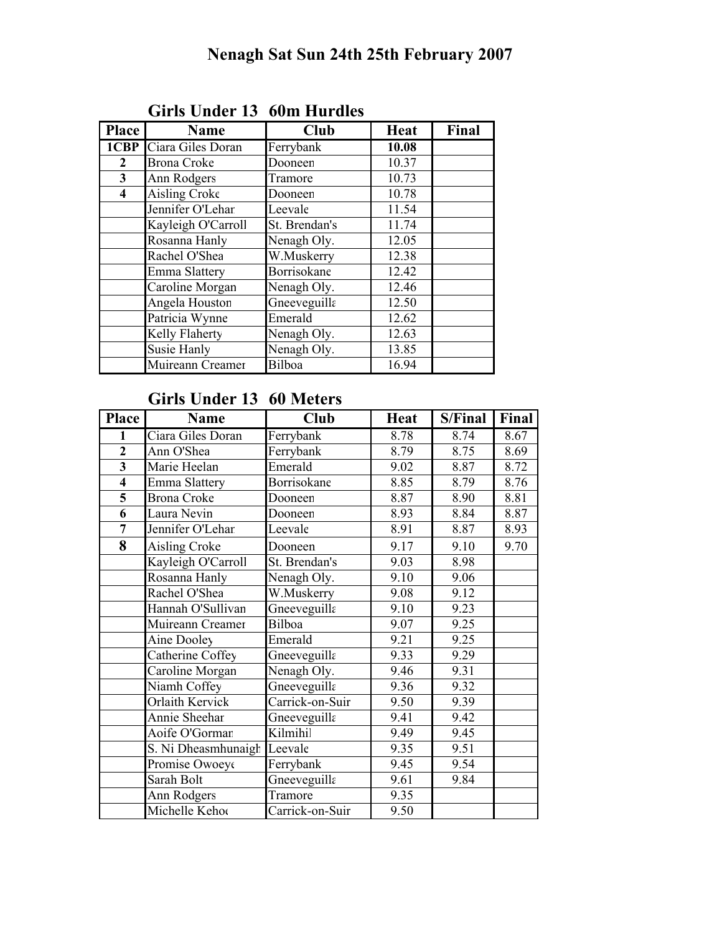| <b>Place</b>            | <b>Name</b>                   | <b>Club</b>   | <b>Heat</b> | Final |
|-------------------------|-------------------------------|---------------|-------------|-------|
|                         | <b>1CBP</b> Ciara Giles Doran | Ferrybank     | 10.08       |       |
| $\overline{2}$          | <b>Brona Croke</b>            | Dooneen       | 10.37       |       |
| 3 <sup>1</sup>          | Ann Rodgers                   | Tramore       | 10.73       |       |
| $\overline{\mathbf{4}}$ | Aisling Croke                 | Dooneen       | 10.78       |       |
|                         | Jennifer O'Lehar              | Leevale       | 11.54       |       |
|                         | Kayleigh O'Carroll            | St. Brendan's | 11.74       |       |
|                         | Rosanna Hanly                 | Nenagh Oly.   | 12.05       |       |
|                         | Rachel O'Shea                 | W.Muskerry    | 12.38       |       |
|                         | Emma Slattery                 | Borrisokane   | 12.42       |       |
|                         | Caroline Morgan               | Nenagh Oly.   | 12.46       |       |
|                         | Angela Houstor                | Gneeveguilla  | 12.50       |       |
|                         | Patricia Wynne                | Emerald       | 12.62       |       |
|                         | Kelly Flaherty                | Nenagh Oly.   | 12.63       |       |
|                         | Susie Hanly                   | Nenagh Oly.   | 13.85       |       |
|                         | Muireann Creamer              | Bilboa        | 16.94       |       |
|                         |                               |               |             |       |

#### Girls Under 13 60m Hurdles

#### Girls Under 13 60 Meters

| <b>Place</b>            | <b>Name</b>         | <b>Club</b>     | <b>Heat</b> | S/Final | Final |
|-------------------------|---------------------|-----------------|-------------|---------|-------|
| 1                       | Ciara Giles Doran   | Ferrybank       | 8.78        | 8.74    | 8.67  |
| $\overline{2}$          | Ann O'Shea          | Ferrybank       | 8.79        | 8.75    | 8.69  |
| $\overline{\mathbf{3}}$ | Marie Heelan        | Emerald         | 9.02        | 8.87    | 8.72  |
| $\overline{4}$          | Emma Slattery       | Borrisokane     | 8.85        | 8.79    | 8.76  |
| $\overline{\mathbf{5}}$ | <b>Brona Croke</b>  | Dooneen         | 8.87        | 8.90    | 8.81  |
| 6                       | Laura Nevin         | Dooneen         | 8.93        | 8.84    | 8.87  |
| $\overline{7}$          | Jennifer O'Lehar    | Leevale         | 8.91        | 8.87    | 8.93  |
| 8                       | Aisling Croke       | Dooneen         | 9.17        | 9.10    | 9.70  |
|                         | Kayleigh O'Carroll  | St. Brendan's   | 9.03        | 8.98    |       |
|                         | Rosanna Hanly       | Nenagh Oly.     | 9.10        | 9.06    |       |
|                         | Rachel O'Shea       | W.Muskerry      | 9.08        | 9.12    |       |
|                         | Hannah O'Sullivan   | Gneeveguilla    | 9.10        | 9.23    |       |
|                         | Muireann Creamer    | Bilboa          | 9.07        | 9.25    |       |
|                         | Aine Dooley         | Emerald         | 9.21        | 9.25    |       |
|                         | Catherine Coffey    | Gneeveguilla    | 9.33        | 9.29    |       |
|                         | Caroline Morgan     | Nenagh Oly.     | 9.46        | 9.31    |       |
|                         | Niamh Coffey        | Gneeveguilla    | 9.36        | 9.32    |       |
|                         | Orlaith Kervick     | Carrick-on-Suir | 9.50        | 9.39    |       |
|                         | Annie Sheehar       | Gneeveguilla    | 9.41        | 9.42    |       |
|                         | Aoife O'Gorman      | Kilmihil        | 9.49        | 9.45    |       |
|                         | S. Ni Dheasmhunaigh | Leevale         | 9.35        | 9.51    |       |
|                         | Promise Owoeye      | Ferrybank       | 9.45        | 9.54    |       |
|                         | Sarah Bolt          | Gneeveguilla    | 9.61        | 9.84    |       |
|                         | Ann Rodgers         | Tramore         | 9.35        |         |       |
|                         | Michelle Kehot      | Carrick-on-Suir | 9.50        |         |       |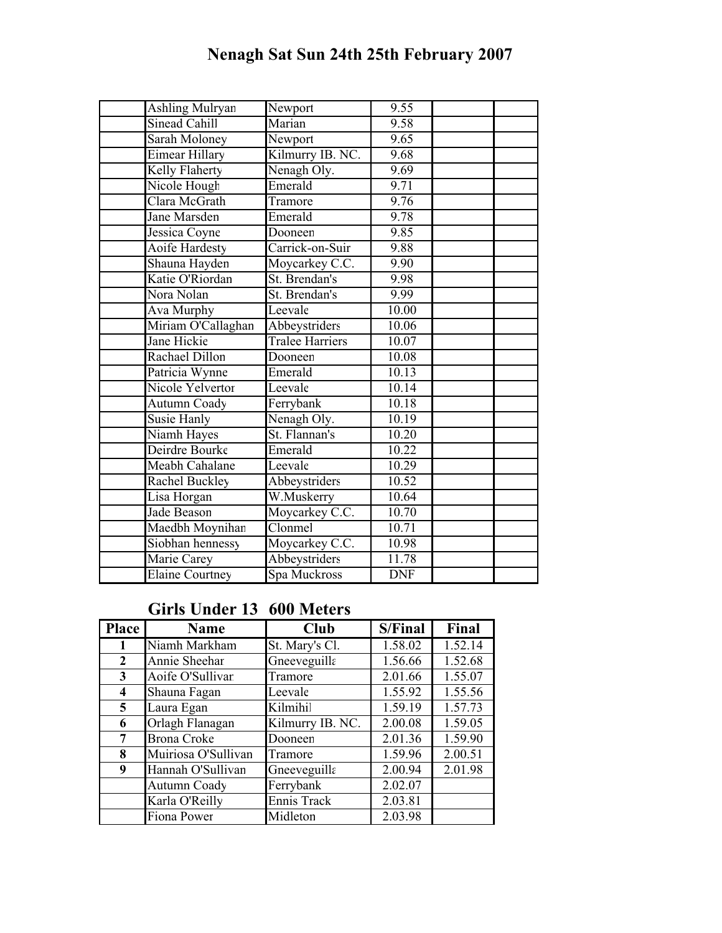# Nenagh Sat Sun 24th 25th February 2007

| <b>Ashling Mulryan</b> | Newport                    | 9.55       |  |
|------------------------|----------------------------|------------|--|
| <b>Sinead Cahill</b>   | Marian                     | 9.58       |  |
| <b>Sarah Moloney</b>   | Newport                    | 9.65       |  |
| <b>Eimear Hillary</b>  | Kilmurry IB. NC.           | 9.68       |  |
| Kelly Flaherty         | Nenagh Oly.                | 9.69       |  |
| Nicole Hough           | Emerald                    | 9.71       |  |
| Clara McGrath          | Tramore                    | 9.76       |  |
| <b>Jane Marsden</b>    | Emerald                    | 9.78       |  |
| Jessica Coyne          | Dooneen                    | 9.85       |  |
| Aoife Hardesty         | Carrick-on-Suir            | 9.88       |  |
| Shauna Hayden          | Moycarkey C.C.             | 9.90       |  |
| Katie O'Riordan        | St. Brendan's              | 9.98       |  |
| Nora Nolan             | St. Brendan's              | 9.99       |  |
| Ava Murphy             | Leevale                    | 10.00      |  |
| Miriam O'Callaghan     | Abbeystriders              | 10.06      |  |
| Jane Hickie            | <b>Tralee Harriers</b>     | 10.07      |  |
| Rachael Dillon         | Dooneen                    | 10.08      |  |
| Patricia Wynne         | Emerald                    | 10.13      |  |
| Nicole Yelvertor       | Leevale                    | 10.14      |  |
| Autumn Coady           | Ferrybank                  | 10.18      |  |
| Susie Hanly            | Nenagh Oly.                | 10.19      |  |
| Niamh Hayes            | St. Flannan's              | 10.20      |  |
| Deirdre Bourke         | Emerald                    | 10.22      |  |
| Meabh Cahalane         | Leevale                    | 10.29      |  |
| Rachel Buckley         | Abbeystriders              | 10.52      |  |
| Lisa Horgan            | W.Muskerry                 | 10.64      |  |
| Jade Beason            | Moycarkey C.C.             | 10.70      |  |
| Maedbh Moynihan        | $\overline{\text{Clomme}}$ | 10.71      |  |
| Siobhan hennessy       | Moycarkey C.C.             | 10.98      |  |
| Marie Carey            | Abbeystriders              | 11.78      |  |
| <b>Elaine Courtney</b> | Spa Muckross               | <b>DNF</b> |  |

### Girls Under 13 600 Meters

| <b>Place</b>            | <b>Name</b>         | Club             | S/Final | Final   |
|-------------------------|---------------------|------------------|---------|---------|
| 1                       | Niamh Markham       | St. Mary's Cl.   | 1.58.02 | 1.52.14 |
| 2                       | Annie Sheehar       | Gneeveguilla     | 1.56.66 | 1.52.68 |
| $\overline{\mathbf{3}}$ | Aoife O'Sullivan    | Tramore          | 2.01.66 | 1.55.07 |
| 4                       | Shauna Fagan        | Leevale          | 1.55.92 | 1.55.56 |
| 5 <sup>5</sup>          | Laura Egan          | Kilmihil         | 1.59.19 | 1.57.73 |
| 6                       | Orlagh Flanagan     | Kilmurry IB. NC. | 2.00.08 | 1.59.05 |
| $\overline{7}$          | <b>Brona Croke</b>  | Dooneen          | 2.01.36 | 1.59.90 |
| 8                       | Muiriosa O'Sullivan | Tramore          | 1.59.96 | 2.00.51 |
| 9                       | Hannah O'Sullivan   | Gneeveguilla     | 2.00.94 | 2.01.98 |
|                         | Autumn Coady        | Ferrybank        | 2.02.07 |         |
|                         | Karla O'Reilly      | Ennis Track      | 2.03.81 |         |
|                         | Fiona Power         | Midleton         | 2.03.98 |         |